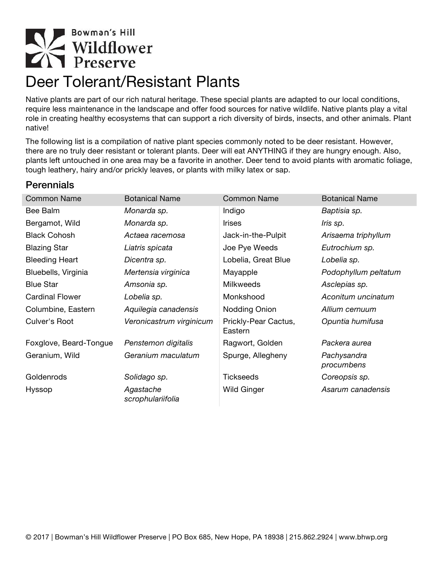## Wildflower Deer Tolerant/Resistant Plants

Native plants are part of our rich natural heritage. These special plants are adapted to our local conditions, require less maintenance in the landscape and offer food sources for native wildlife. Native plants play a vital role in creating healthy ecosystems that can support a rich diversity of birds, insects, and other animals. Plant native!

The following list is a compilation of native plant species commonly noted to be deer resistant. However, there are no truly deer resistant or tolerant plants. Deer will eat ANYTHING if they are hungry enough. Also, plants left untouched in one area may be a favorite in another. Deer tend to avoid plants with aromatic foliage, tough leathery, hairy and/or prickly leaves, or plants with milky latex or sap.

## **Perennials**

| <b>Common Name</b>     | <b>Botanical Name</b>          | <b>Common Name</b>              | <b>Botanical Name</b>     |
|------------------------|--------------------------------|---------------------------------|---------------------------|
| Bee Balm               | Monarda sp.                    | Indigo                          | Baptisia sp.              |
| Bergamot, Wild         | Monarda sp.                    | <b>Irises</b>                   | Iris sp.                  |
| <b>Black Cohosh</b>    | Actaea racemosa                | Jack-in-the-Pulpit              | Arisaema triphyllum       |
| <b>Blazing Star</b>    | Liatris spicata                | Joe Pye Weeds                   | Eutrochium sp.            |
| <b>Bleeding Heart</b>  | Dicentra sp.                   | Lobelia, Great Blue             | Lobelia sp.               |
| Bluebells, Virginia    | Mertensia virginica            | Mayapple                        | Podophyllum peltatum      |
| <b>Blue Star</b>       | Amsonia sp.                    | Milkweeds                       | Asclepias sp.             |
| <b>Cardinal Flower</b> | Lobelia sp.                    | Monkshood                       | Aconitum uncinatum        |
| Columbine, Eastern     | Aquilegia canadensis           | Nodding Onion                   | Allium cernuum            |
| Culver's Root          | Veronicastrum virginicum       | Prickly-Pear Cactus,<br>Eastern | Opuntia humifusa          |
| Foxglove, Beard-Tongue | Penstemon digitalis            | Ragwort, Golden                 | Packera aurea             |
| Geranium, Wild         | Geranium maculatum             | Spurge, Allegheny               | Pachysandra<br>procumbens |
| Goldenrods             | Solidago sp.                   | <b>Tickseeds</b>                | Coreopsis sp.             |
| Hyssop                 | Agastache<br>scrophulariifolia | <b>Wild Ginger</b>              | Asarum canadensis         |